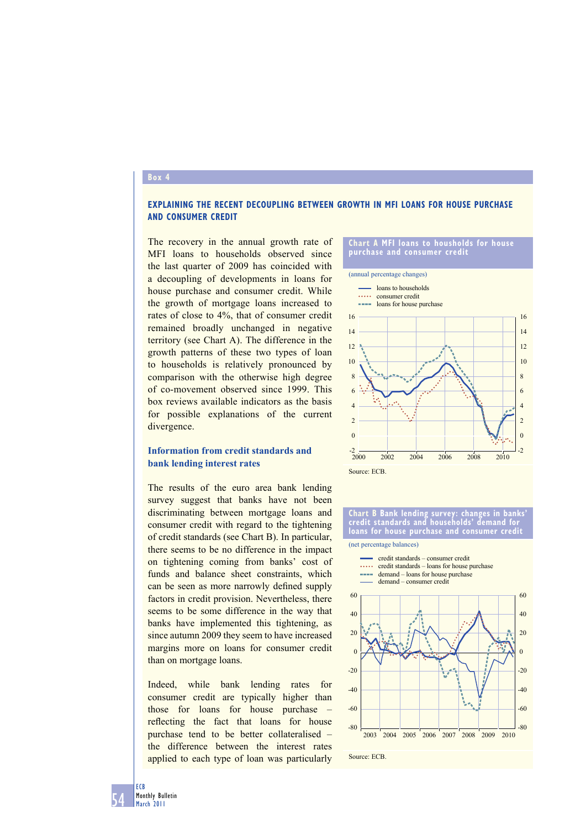### **Box 4**

## **EXPLAINING THE RECENT DECOUPLING BETWEEN GROWTH IN MFI LOANS FOR HOUSE PURCHASE AND CONSUMER CREDIT**

The recovery in the annual growth rate of MFI loans to households observed since the last quarter of 2009 has coincided with a decoupling of developments in loans for house purchase and consumer credit. While the growth of mortgage loans increased to rates of close to 4%, that of consumer credit remained broadly unchanged in negative territory (see Chart A). The difference in the growth patterns of these two types of loan to households is relatively pronounced by comparison with the otherwise high degree of co-movement observed since 1999. This box reviews available indicators as the basis for possible explanations of the current divergence.

# **Information from credit standards and bank lending interest rates**

The results of the euro area bank lending survey suggest that banks have not been discriminating between mortgage loans and consumer credit with regard to the tightening of credit standards (see Chart B). In particular, there seems to be no difference in the impact on tightening coming from banks' cost of funds and balance sheet constraints, which can be seen as more narrowly defined supply factors in credit provision. Nevertheless, there seems to be some difference in the way that banks have implemented this tightening, as since autumn 2009 they seem to have increased margins more on loans for consumer credit than on mortgage loans.

Indeed, while bank lending rates for consumer credit are typically higher than those for loans for house purchase – reflecting the fact that loans for house purchase tend to be better collateralised – the difference between the interest rates applied to each type of loan was particularly

#### **Chart A MFI loans to housholds for house purchase and consumer credit**



**Chart B Bank lending survey: changes in banks' credit standards and households' demand for loans for house purchase and consumer credi** 

credit standards – consumer credit

(net percentage balances)

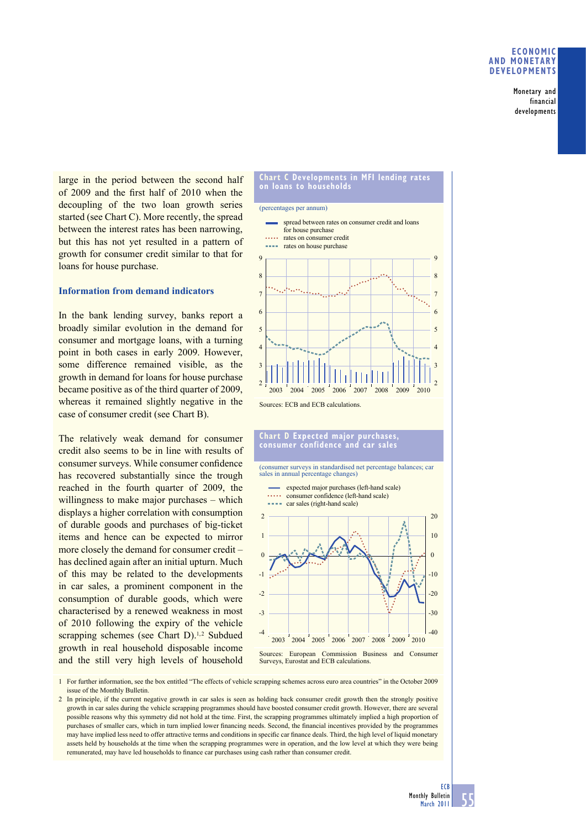Monetary and financial developments

large in the period between the second half of 2009 and the first half of 2010 when the decoupling of the two loan growth series started (see Chart C). More recently, the spread between the interest rates has been narrowing, but this has not yet resulted in a pattern of growth for consumer credit similar to that for loans for house purchase.

### **Information from demand indicators**

In the bank lending survey, banks report a broadly similar evolution in the demand for consumer and mortgage loans, with a turning point in both cases in early 2009. However, some difference remained visible, as the growth in demand for loans for house purchase became positive as of the third quarter of 2009, whereas it remained slightly negative in the case of consumer credit (see Chart B).

The relatively weak demand for consumer credit also seems to be in line with results of consumer surveys. While consumer confidence has recovered substantially since the trough reached in the fourth quarter of 2009, the willingness to make major purchases – which displays a higher correlation with consumption of durable goods and purchases of big-ticket items and hence can be expected to mirror more closely the demand for consumer credit – has declined again after an initial upturn. Much of this may be related to the developments in car sales, a prominent component in the consumption of durable goods, which were characterised by a renewed weakness in most of 2010 following the expiry of the vehicle scrapping schemes (see Chart  $D$ ).<sup>1,2</sup> Subdued growth in real household disposable income and the still very high levels of household





Sources: ECB and ECB calculations.

#### **Chart D Expected major purchases, consumer confidence and car sales**

(consumer surveys in standardised net percentage balances; car sales in annual percentage changes

expected major purchases (left-hand scale) . . . . . consumer confidence (left-hand scale)



1 For further information, see the box entitled "The effects of vehicle scrapping schemes across euro area countries" in the October 2009 issue of the Monthly Bulletin.

2 In principle, if the current negative growth in car sales is seen as holding back consumer credit growth then the strongly positive growth in car sales during the vehicle scrapping programmes should have boosted consumer credit growth. However, there are several possible reasons why this symmetry did not hold at the time. First, the scrapping programmes ultimately implied a high proportion of purchases of smaller cars, which in turn implied lower financing needs. Second, the financial incentives provided by the programmes may have implied less need to offer attractive terms and conditions in specific car finance deals. Third, the high level of liquid monetary assets held by households at the time when the scrapping programmes were in operation, and the low level at which they were being remunerated, may have led households to finance car purchases using cash rather than consumer credit.